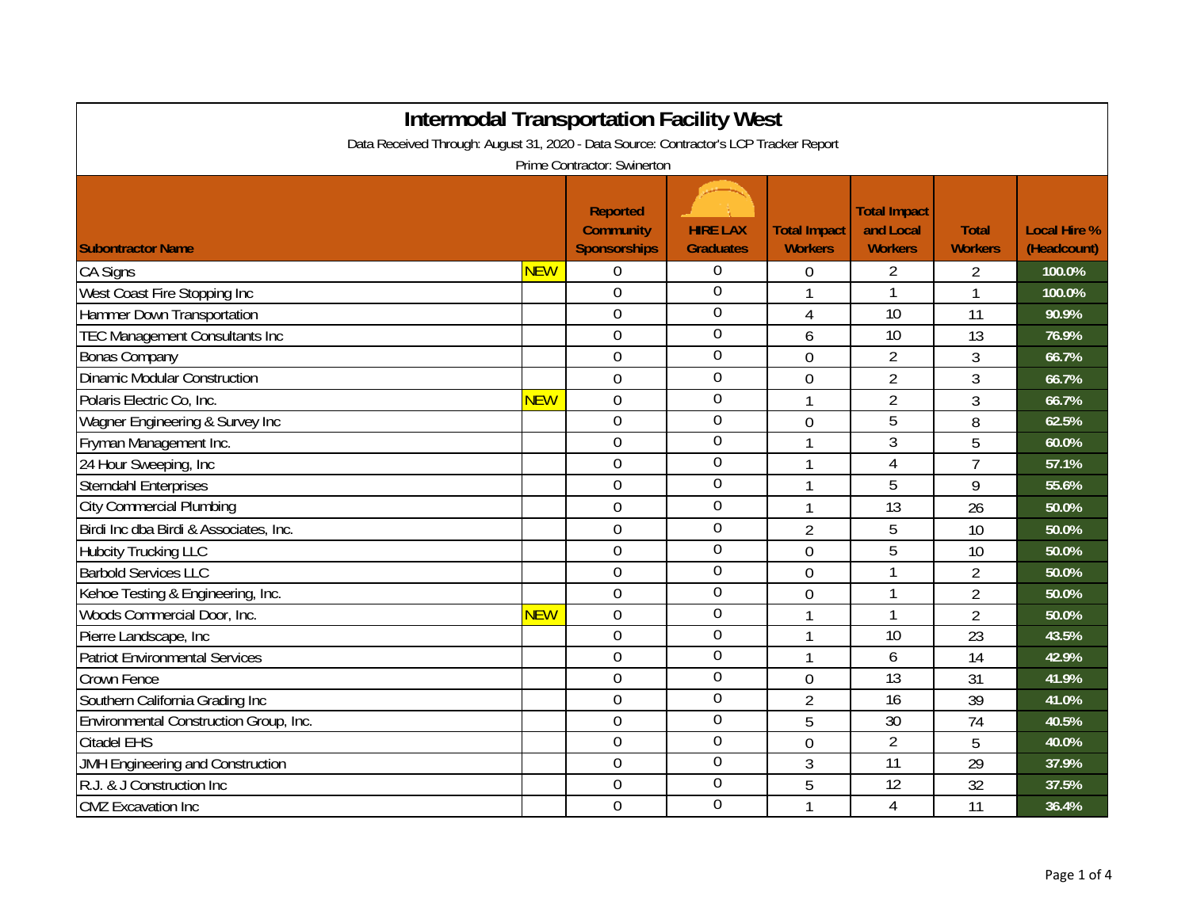| <b>Intermodal Transportation Facility West</b>                                                                       |            |                                                     |                                     |                                       |                                                    |                                |                                    |  |
|----------------------------------------------------------------------------------------------------------------------|------------|-----------------------------------------------------|-------------------------------------|---------------------------------------|----------------------------------------------------|--------------------------------|------------------------------------|--|
| Data Received Through: August 31, 2020 - Data Source: Contractor's LCP Tracker Report<br>Prime Contractor: Swinerton |            |                                                     |                                     |                                       |                                                    |                                |                                    |  |
| <b>Subontractor Name</b>                                                                                             |            | Reported<br><b>Community</b><br><b>Sponsorships</b> | <b>HIRE LAX</b><br><b>Graduates</b> | <b>Total Impact</b><br><b>Workers</b> | <b>Total Impact</b><br>and Local<br><b>Workers</b> | <b>Total</b><br><b>Workers</b> | <b>Local Hire %</b><br>(Headcount) |  |
| <b>CA Signs</b>                                                                                                      | <b>NEW</b> | 0                                                   | $\overline{0}$                      | 0                                     | 2                                                  | 2                              | 100.0%                             |  |
| West Coast Fire Stopping Inc                                                                                         |            | $\overline{0}$                                      | $\overline{0}$                      | 1                                     | 1                                                  | 1                              | 100.0%                             |  |
| Hammer Down Transportation                                                                                           |            | $\overline{0}$                                      | $\overline{0}$                      | 4                                     | 10                                                 | 11                             | 90.9%                              |  |
| <b>TEC Management Consultants Inc</b>                                                                                |            | $\overline{0}$                                      | $\overline{0}$                      | 6                                     | 10                                                 | 13                             | 76.9%                              |  |
| <b>Bonas Company</b>                                                                                                 |            | $\boldsymbol{0}$                                    | $\mathbf 0$                         | $\mathbf 0$                           | $\overline{2}$                                     | $\overline{3}$                 | 66.7%                              |  |
| <b>Dinamic Modular Construction</b>                                                                                  |            | $\boldsymbol{0}$                                    | $\boldsymbol{0}$                    | 0                                     | $\overline{2}$                                     | 3                              | 66.7%                              |  |
| Polaris Electric Co, Inc.                                                                                            | <b>NEW</b> | 0                                                   | $\boldsymbol{0}$                    | 1                                     | $\overline{2}$                                     | 3                              | 66.7%                              |  |
| Wagner Engineering & Survey Inc                                                                                      |            | $\boldsymbol{0}$                                    | $\boldsymbol{0}$                    | 0                                     | 5                                                  | 8                              | 62.5%                              |  |
| Fryman Management Inc.                                                                                               |            | 0                                                   | $\boldsymbol{0}$                    | $\mathbf{1}$                          | 3                                                  | 5                              | 60.0%                              |  |
| 24 Hour Sweeping, Inc                                                                                                |            | $\boldsymbol{0}$                                    | $\boldsymbol{0}$                    | 1                                     | 4                                                  | $\overline{7}$                 | 57.1%                              |  |
| <b>Sterndahl Enterprises</b>                                                                                         |            | $\overline{0}$                                      | $\overline{0}$                      | 1                                     | 5                                                  | 9                              | 55.6%                              |  |
| <b>City Commercial Plumbing</b>                                                                                      |            | $\overline{0}$                                      | $\mathbf 0$                         | 1                                     | 13                                                 | 26                             | 50.0%                              |  |
| Birdi Inc dba Birdi & Associates, Inc.                                                                               |            | $\boldsymbol{0}$                                    | $\mathbf 0$                         | $\overline{2}$                        | 5                                                  | 10                             | 50.0%                              |  |
| <b>Hubcity Trucking LLC</b>                                                                                          |            | $\overline{0}$                                      | $\overline{0}$                      | $\overline{0}$                        | 5                                                  | 10                             | 50.0%                              |  |
| <b>Barbold Services LLC</b>                                                                                          |            | $\mathbf 0$                                         | $\overline{0}$                      | $\overline{0}$                        |                                                    | $\overline{2}$                 | 50.0%                              |  |
| Kehoe Testing & Engineering, Inc.                                                                                    |            | $\overline{0}$                                      | $\overline{0}$                      | $\mathbf 0$                           |                                                    | $\overline{2}$                 | 50.0%                              |  |
| Woods Commercial Door, Inc.                                                                                          | <b>NEW</b> | 0                                                   | $\boldsymbol{0}$                    | 1                                     |                                                    | $\overline{2}$                 | 50.0%                              |  |
| Pierre Landscape, Inc                                                                                                |            | $\overline{0}$                                      | $\boldsymbol{0}$                    | 1                                     | 10                                                 | 23                             | 43.5%                              |  |
| <b>Patriot Environmental Services</b>                                                                                |            | 0                                                   | $\boldsymbol{0}$                    | 1                                     | 6                                                  | 14                             | 42.9%                              |  |
| Crown Fence                                                                                                          |            | $\boldsymbol{0}$                                    | $\boldsymbol{0}$                    | 0                                     | 13                                                 | 31                             | 41.9%                              |  |
| Southern California Grading Inc                                                                                      |            | 0                                                   | $\boldsymbol{0}$                    | $\overline{2}$                        | 16                                                 | 39                             | 41.0%                              |  |
| Environmental Construction Group, Inc.                                                                               |            | $\boldsymbol{0}$                                    | $\boldsymbol{0}$                    | 5                                     | 30                                                 | 74                             | 40.5%                              |  |
| <b>Citadel EHS</b>                                                                                                   |            | $\overline{0}$                                      | $\overline{0}$                      | $\overline{0}$                        | $\overline{2}$                                     | 5                              | 40.0%                              |  |
| JMH Engineering and Construction                                                                                     |            | $\overline{0}$                                      | $\overline{0}$                      | 3                                     | 11                                                 | 29                             | 37.9%                              |  |
| R.J. & J Construction Inc                                                                                            |            | $\mathbf 0$                                         | $\mathbf 0$                         | 5                                     | 12                                                 | 32                             | 37.5%                              |  |
| <b>CMZ</b> Excavation Inc                                                                                            |            | $\mathbf 0$                                         | $\overline{0}$                      | 1                                     | $\overline{4}$                                     | 11                             | 36.4%                              |  |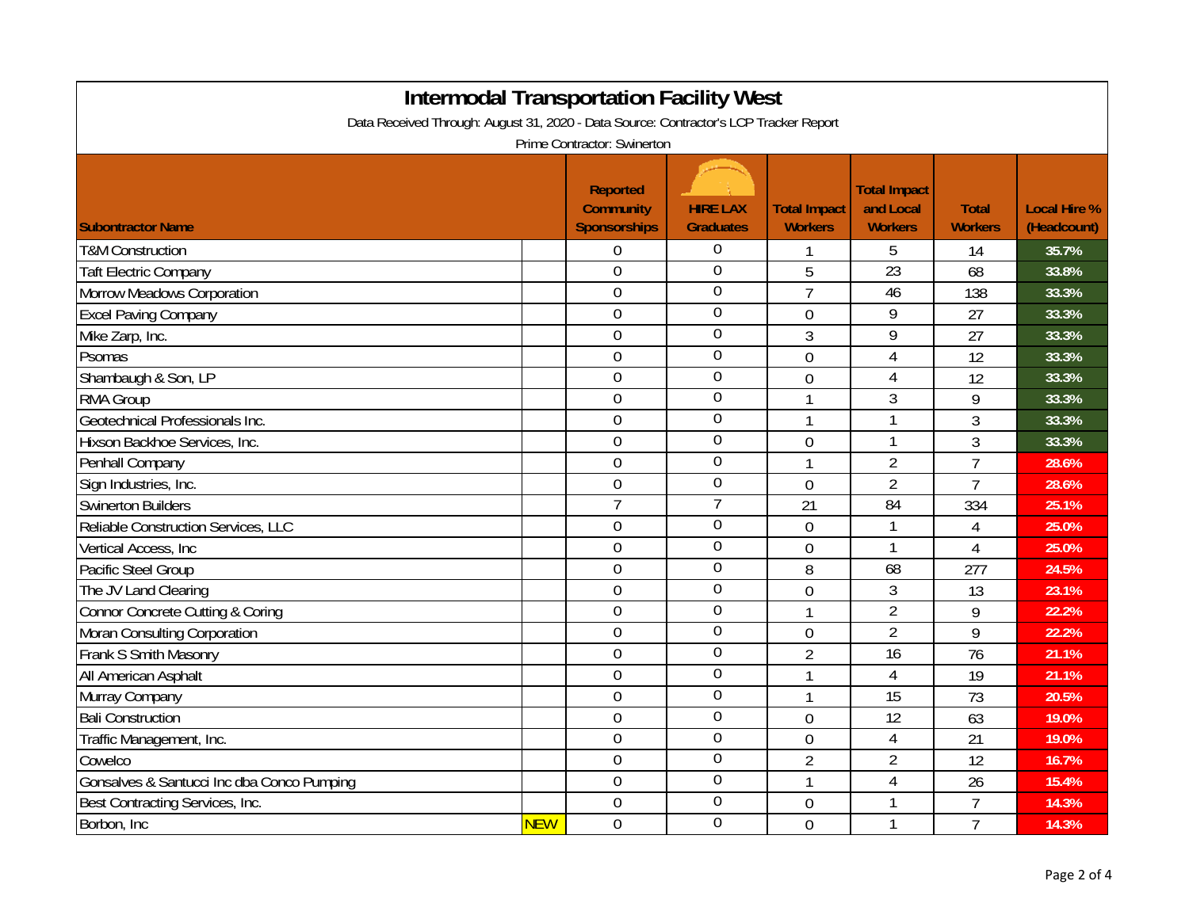| <b>Intermodal Transportation Facility West</b>                                                                       |            |                                                     |                                     |                                       |                                                    |                                |                                    |  |
|----------------------------------------------------------------------------------------------------------------------|------------|-----------------------------------------------------|-------------------------------------|---------------------------------------|----------------------------------------------------|--------------------------------|------------------------------------|--|
| Data Received Through: August 31, 2020 - Data Source: Contractor's LCP Tracker Report<br>Prime Contractor: Swinerton |            |                                                     |                                     |                                       |                                                    |                                |                                    |  |
| <b>Subontractor Name</b>                                                                                             |            | <b>Reported</b><br><b>Community</b><br>Sponsorships | <b>HIRE LAX</b><br><b>Graduates</b> | <b>Total Impact</b><br><b>Workers</b> | <b>Total Impact</b><br>and Local<br><b>Workers</b> | <b>Total</b><br><b>Workers</b> | <b>Local Hire %</b><br>(Headcount) |  |
| <b>T&amp;M Construction</b>                                                                                          |            | 0                                                   | 0                                   |                                       | 5                                                  | 14                             | 35.7%                              |  |
| <b>Taft Electric Company</b>                                                                                         |            | $\overline{0}$                                      | $\mathbf 0$                         | 5                                     | 23                                                 | 68                             | 33.8%                              |  |
| Morrow Meadows Corporation                                                                                           |            | $\overline{0}$                                      | $\mathbf 0$                         | $\overline{7}$                        | 46                                                 | 138                            | 33.3%                              |  |
| <b>Excel Paving Company</b>                                                                                          |            | $\overline{0}$                                      | 0                                   | $\overline{0}$                        | 9                                                  | 27                             | 33.3%                              |  |
| Mike Zarp, Inc.                                                                                                      |            | $\overline{0}$                                      | 0                                   | 3                                     | 9                                                  | 27                             | 33.3%                              |  |
| Psomas                                                                                                               |            | $\overline{0}$                                      | 0                                   | $\overline{0}$                        | $\overline{4}$                                     | 12                             | 33.3%                              |  |
| Shambaugh & Son, LP                                                                                                  |            | $\boldsymbol{0}$                                    | $\overline{0}$                      | $\overline{0}$                        | $\overline{4}$                                     | 12                             | 33.3%                              |  |
| <b>RMA Group</b>                                                                                                     |            | $\boldsymbol{0}$                                    | $\overline{0}$                      | 1                                     | 3                                                  | 9                              | 33.3%                              |  |
| Geotechnical Professionals Inc.                                                                                      |            | $\boldsymbol{0}$                                    | $\overline{0}$                      |                                       | $\mathbf{1}$                                       | 3                              | 33.3%                              |  |
| Hixson Backhoe Services, Inc.                                                                                        |            | $\boldsymbol{0}$                                    | $\mathbf 0$                         | 0                                     | 1                                                  | 3                              | 33.3%                              |  |
| Penhall Company                                                                                                      |            | $\mathbf 0$                                         | $\boldsymbol{0}$                    | 1                                     | $\overline{2}$                                     | $\overline{7}$                 | 28.6%                              |  |
| Sign Industries, Inc.                                                                                                |            | $\mathbf 0$                                         | $\overline{0}$                      | 0                                     | $\overline{2}$                                     | $\overline{7}$                 | 28.6%                              |  |
| <b>Swinerton Builders</b>                                                                                            |            | $\overline{7}$                                      | 7                                   | 21                                    | 84                                                 | 334                            | 25.1%                              |  |
| Reliable Construction Services, LLC                                                                                  |            | $\boldsymbol{0}$                                    | $\overline{0}$                      | $\overline{0}$                        | 1                                                  | 4                              | 25.0%                              |  |
| Vertical Access, Inc.                                                                                                |            | $\mathbf 0$                                         | $\mathbf 0$                         | $\overline{0}$                        | $\mathbf{1}$                                       | $\overline{4}$                 | 25.0%                              |  |
| Pacific Steel Group                                                                                                  |            | $\boldsymbol{0}$                                    | $\overline{0}$                      | 8                                     | 68                                                 | 277                            | 24.5%                              |  |
| The JV Land Clearing                                                                                                 |            | $\overline{0}$                                      | $\overline{0}$                      | $\overline{0}$                        | $\mathfrak{Z}$                                     | 13                             | 23.1%                              |  |
| Connor Concrete Cutting & Coring                                                                                     |            | $\overline{0}$                                      | $\mathbf 0$                         | 1                                     | $\overline{2}$                                     | 9                              | 22.2%                              |  |
| Moran Consulting Corporation                                                                                         |            | $\overline{0}$                                      | $\mathbf 0$                         | $\mathbf 0$                           | $\overline{2}$                                     | 9                              | 22.2%                              |  |
| Frank S Smith Masonry                                                                                                |            | $\overline{0}$                                      | $\mathbf 0$                         | $\overline{2}$                        | 16                                                 | 76                             | 21.1%                              |  |
| All American Asphalt                                                                                                 |            | $\overline{0}$                                      | 0                                   | 1                                     | $\overline{4}$                                     | 19                             | 21.1%                              |  |
| Murray Company                                                                                                       |            | $\overline{0}$                                      | 0                                   | 1                                     | $\overline{15}$                                    | 73                             | 20.5%                              |  |
| <b>Bali Construction</b>                                                                                             |            | $\boldsymbol{0}$                                    | $\overline{0}$                      | 0                                     | 12                                                 | 63                             | 19.0%                              |  |
| Traffic Management, Inc.                                                                                             |            | $\overline{0}$                                      | 0                                   | $\overline{0}$                        | $\overline{4}$                                     | 21                             | 19.0%                              |  |
| Cowelco                                                                                                              |            | $\boldsymbol{0}$                                    | $\overline{0}$                      | $\overline{2}$                        | $\overline{2}$                                     | 12                             | 16.7%                              |  |
| Gonsalves & Santucci Inc dba Conco Pumping                                                                           |            | $\mathbf 0$                                         | $\overline{0}$                      | 1                                     | $\overline{4}$                                     | 26                             | 15.4%                              |  |
| Best Contracting Services, Inc.                                                                                      |            | $\mathbf 0$                                         | $\mathbf 0$                         | 0                                     | 1                                                  | $\overline{7}$                 | 14.3%                              |  |
| Borbon, Inc.                                                                                                         | <b>NEW</b> | $\mathbf 0$                                         | $\overline{0}$                      | $\overline{0}$                        | $\mathbf{1}$                                       | $\overline{7}$                 | 14.3%                              |  |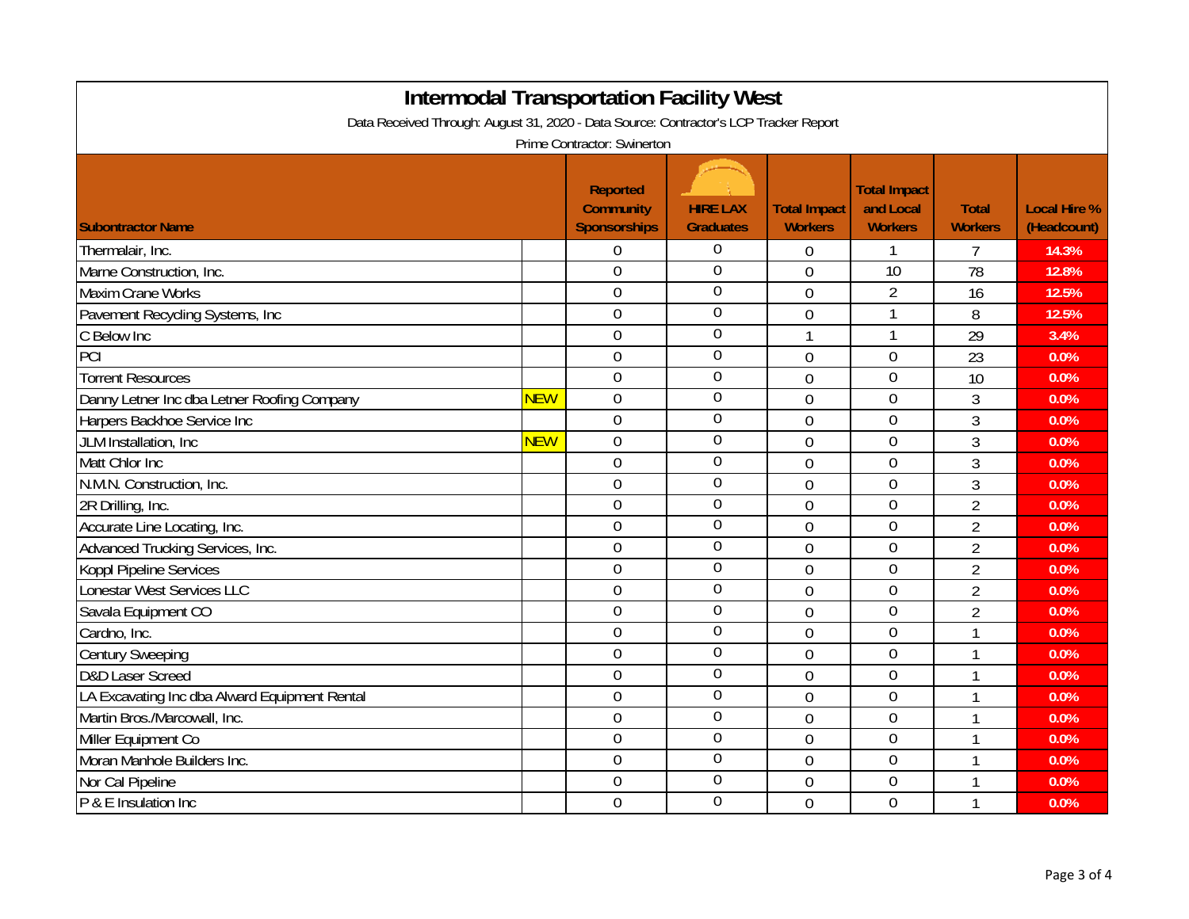| <b>Intermodal Transportation Facility West</b><br>Data Received Through: August 31, 2020 - Data Source: Contractor's LCP Tracker Report |            |                                                     |                                     |                                       |                                                    |                                |                                    |  |
|-----------------------------------------------------------------------------------------------------------------------------------------|------------|-----------------------------------------------------|-------------------------------------|---------------------------------------|----------------------------------------------------|--------------------------------|------------------------------------|--|
| Prime Contractor: Swinerton                                                                                                             |            |                                                     |                                     |                                       |                                                    |                                |                                    |  |
| <b>Subontractor Name</b>                                                                                                                |            | Reported<br><b>Community</b><br><b>Sponsorships</b> | <b>HIRE LAX</b><br><b>Graduates</b> | <b>Total Impact</b><br><b>Workers</b> | <b>Total Impact</b><br>and Local<br><b>Workers</b> | <b>Total</b><br><b>Workers</b> | <b>Local Hire %</b><br>(Headcount) |  |
| Thermalair, Inc.                                                                                                                        |            | $\boldsymbol{0}$                                    | $\Omega$                            | 0                                     |                                                    | 7                              | 14.3%                              |  |
| Marne Construction, Inc.                                                                                                                |            | $\mathbf 0$                                         | $\mathbf 0$                         | $\mathbf 0$                           | 10                                                 | 78                             | 12.8%                              |  |
| Maxim Crane Works                                                                                                                       |            | $\mathbf 0$                                         | $\overline{0}$                      | $\overline{0}$                        | $\overline{2}$                                     | 16                             | 12.5%                              |  |
| Pavement Recycling Systems, Inc                                                                                                         |            | $\mathbf 0$                                         | $\overline{0}$                      | 0                                     | $\mathbf 1$                                        | 8                              | 12.5%                              |  |
| C Below Inc                                                                                                                             |            | $\overline{0}$                                      | $\theta$                            | 1                                     | $\mathbf{1}$                                       | 29                             | 3.4%                               |  |
| PCI                                                                                                                                     |            | $\overline{0}$                                      | 0                                   | $\overline{0}$                        | $\overline{0}$                                     | 23                             | 0.0%                               |  |
| <b>Torrent Resources</b>                                                                                                                |            | $\overline{0}$                                      | 0                                   | 0                                     | $\overline{0}$                                     | 10                             | 0.0%                               |  |
| Danny Letner Inc dba Letner Roofing Company                                                                                             | <b>NEW</b> | $\boldsymbol{0}$                                    | 0                                   | 0                                     | $\boldsymbol{0}$                                   | 3                              | 0.0%                               |  |
| Harpers Backhoe Service Inc                                                                                                             |            | $\boldsymbol{0}$                                    | 0                                   | $\overline{0}$                        | $\overline{0}$                                     | 3                              | 0.0%                               |  |
| JLM Installation, Inc.                                                                                                                  | <b>NEW</b> | $\overline{0}$                                      | $\mathbf 0$                         | 0                                     | $\overline{0}$                                     | $\mathfrak{Z}$                 | 0.0%                               |  |
| Matt Chlor Inc                                                                                                                          |            | $\overline{0}$                                      | $\mathbf 0$                         | $\Omega$                              | $\overline{0}$                                     | 3                              | 0.0%                               |  |
| N.M.N. Construction, Inc.                                                                                                               |            | $\overline{0}$                                      | 0                                   | $\overline{0}$                        | $\overline{0}$                                     | 3                              | 0.0%                               |  |
| 2R Drilling, Inc.                                                                                                                       |            | $\overline{0}$                                      | $\mathbf 0$                         | $\overline{0}$                        | $\overline{0}$                                     | $\overline{2}$                 | 0.0%                               |  |
| Accurate Line Locating, Inc.                                                                                                            |            | $\boldsymbol{0}$                                    | $\mathbf 0$                         | $\mathbf{0}$                          | $\overline{0}$                                     | $\overline{2}$                 | 0.0%                               |  |
| Advanced Trucking Services, Inc.                                                                                                        |            | $\overline{0}$                                      | $\mathbf 0$                         | 0                                     | $\overline{0}$                                     | $\overline{2}$                 | 0.0%                               |  |
| Koppl Pipeline Services                                                                                                                 |            | $\overline{0}$                                      | $\overline{0}$                      | $\overline{0}$                        | $\overline{0}$                                     | $\overline{2}$                 | 0.0%                               |  |
| Lonestar West Services LLC                                                                                                              |            | $\overline{0}$                                      | $\overline{0}$                      | $\overline{0}$                        | $\overline{0}$                                     | $\overline{2}$                 | 0.0%                               |  |
| Savala Equipment CO                                                                                                                     |            | $\overline{0}$                                      | $\Omega$                            | $\overline{0}$                        | $\overline{0}$                                     | $\overline{2}$                 | 0.0%                               |  |
| Cardno, Inc.                                                                                                                            |            | $\boldsymbol{0}$                                    | $\mathbf 0$                         | $\overline{0}$                        | $\mathbf 0$                                        | $\mathbf{1}$                   | 0.0%                               |  |
| <b>Century Sweeping</b>                                                                                                                 |            | $\boldsymbol{0}$                                    | $\overline{0}$                      | 0                                     | $\mathbf 0$                                        | $\mathbf{1}$                   | 0.0%                               |  |
| D&D Laser Screed                                                                                                                        |            | $\boldsymbol{0}$                                    | $\mathbf 0$                         | 0                                     | $\mathbf 0$                                        | 1                              | 0.0%                               |  |
| LA Excavating Inc dba Alward Equipment Rental                                                                                           |            | $\overline{0}$                                      | $\overline{0}$                      | $\overline{0}$                        | $\overline{0}$                                     | 1                              | 0.0%                               |  |
| Martin Bros./Marcowall, Inc.                                                                                                            |            | $\overline{0}$                                      | $\mathbf 0$                         | $\Omega$                              | $\overline{0}$                                     | 1                              | 0.0%                               |  |
| Miller Equipment Co                                                                                                                     |            | $\mathbf 0$                                         | 0                                   | $\overline{0}$                        | $\mathbf 0$                                        | 1                              | 0.0%                               |  |
| Moran Manhole Builders Inc.                                                                                                             |            | $\mathbf 0$                                         | 0                                   | $\overline{0}$                        | $\mathbf 0$                                        | 1                              | 0.0%                               |  |
| Nor Cal Pipeline                                                                                                                        |            | $\boldsymbol{0}$                                    | $\overline{0}$                      | $\overline{0}$                        | $\mathbf 0$                                        | 1                              | 0.0%                               |  |
| P & E Insulation Inc                                                                                                                    |            | $\overline{0}$                                      | $\mathbf 0$                         | 0                                     | $\overline{0}$                                     | 1                              | 0.0%                               |  |